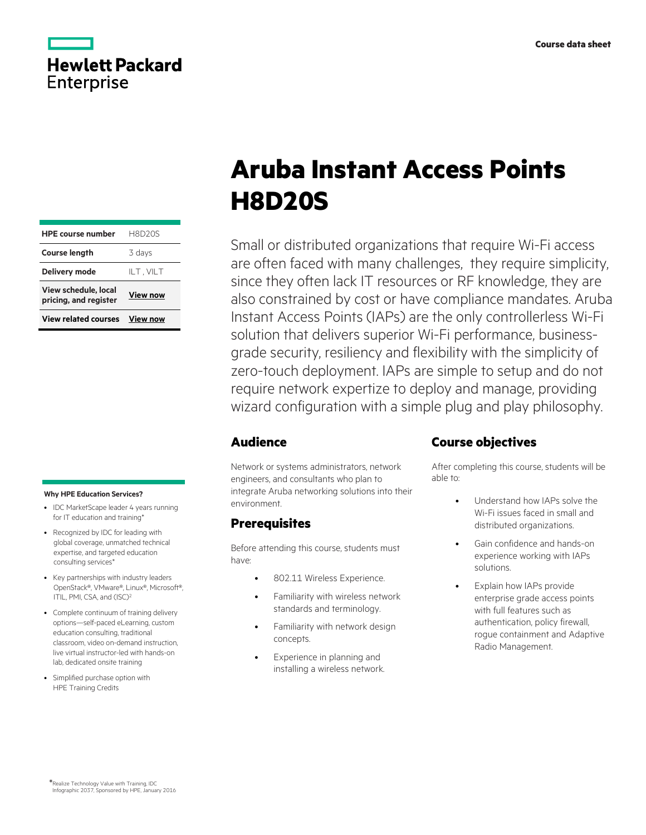

| HPE course number H8D20S                             |                 |  |
|------------------------------------------------------|-----------------|--|
| <b>Course length</b>                                 | 3 days          |  |
| <b>Delivery mode</b>                                 | ILT, VILT       |  |
| <b>View schedule, local</b><br>pricing, and register | <b>View now</b> |  |
| <b>View related courses</b>                          | <b>View now</b> |  |

#### **Why HPE Education Services?**

- IDC MarketScape leader 4 years running for IT education and training\*
- Recognized by IDC for leading with global coverage, unmatched technical expertise, and targeted education consulting services\*
- Key partnerships with industry leaders OpenStack®, VMware®, Linux®, Microsoft®, ITIL, PMI, CSA, and (ISC)<sup>2</sup>
- Complete continuum of training delivery options—self-paced eLearning, custom education consulting, traditional classroom, video on-demand instruction, live virtual instructor-led with hands-on lab, dedicated onsite training
- Simplified purchase option with HPE Training Credits

# **Aruba Instant Access Points H8D20S**

Small or distributed organizations that require Wi-Fi access are often faced with many challenges, they require simplicity, since they often lack IT resources or RF knowledge, they are also constrained by cost or have compliance mandates. Aruba Instant Access Points (IAPs) are the only controllerless Wi-Fi solution that delivers superior Wi-Fi performance, businessgrade security, resiliency and flexibility with the simplicity of zero-touch deployment. IAPs are simple to setup and do not require network expertize to deploy and manage, providing wizard configuration with a simple plug and play philosophy.

## **Audience**

Network or systems administrators, network engineers, and consultants who plan to integrate Aruba networking solutions into their environment.

# **Prerequisites**

Before attending this course, students must have:

- 802.11 Wireless Experience.
- Familiarity with wireless network standards and terminology.
- Familiarity with network design concepts.
- Experience in planning and installing a wireless network.

## **Course objectives**

After completing this course, students will be able to:

- Understand how IAPs solve the Wi-Fi issues faced in small and distributed organizations.
- Gain confidence and hands-on experience working with IAPs solutions.
- Explain how IAPs provide enterprise grade access points with full features such as authentication, policy firewall, rogue containment and Adaptive Radio Management.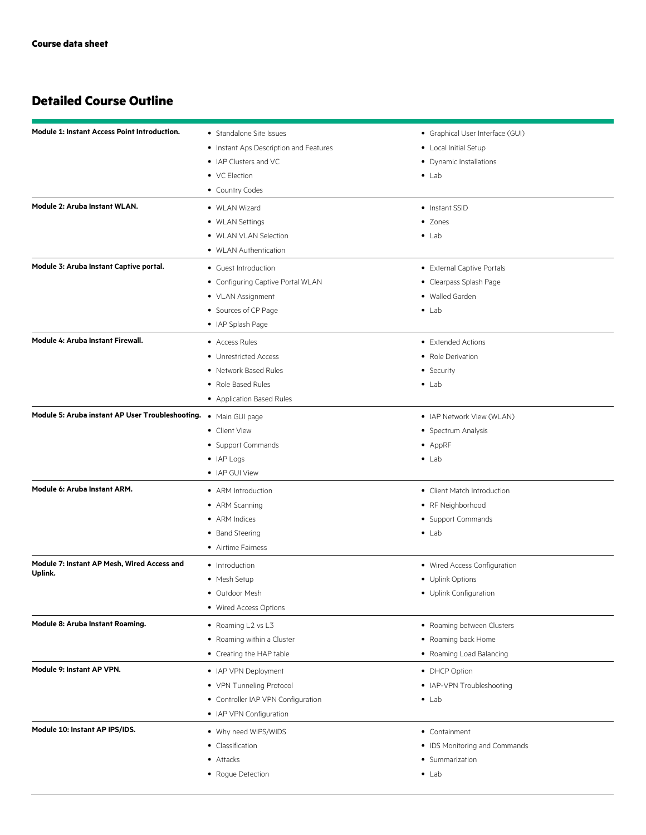# **Detailed Course Outline**

| <b>Module 1: Instant Access Point Introduction.</b>              | • Standalone Site Issues               | • Graphical User Interface (GUI) |
|------------------------------------------------------------------|----------------------------------------|----------------------------------|
|                                                                  | • Instant Aps Description and Features | • Local Initial Setup            |
|                                                                  | • IAP Clusters and VC                  | • Dynamic Installations          |
|                                                                  | • VC Election                          | $\bullet$ Lab                    |
|                                                                  | • Country Codes                        |                                  |
| Module 2: Aruba Instant WLAN.                                    | • WLAN Wizard                          | • Instant SSID                   |
|                                                                  | • WLAN Settings                        | • Zones                          |
|                                                                  | • WLAN VLAN Selection                  | $\bullet$ Lab                    |
|                                                                  | • WLAN Authentication                  |                                  |
| Module 3: Aruba Instant Captive portal.                          | • Guest Introduction                   | • External Captive Portals       |
|                                                                  | • Configuring Captive Portal WLAN      | • Clearpass Splash Page          |
|                                                                  | • VLAN Assignment                      | • Walled Garden                  |
|                                                                  | • Sources of CP Page                   | $\bullet$ Lab                    |
|                                                                  | • IAP Splash Page                      |                                  |
| Module 4: Aruba Instant Firewall.                                | • Access Rules                         | • Extended Actions               |
|                                                                  | • Unrestricted Access                  | • Role Derivation                |
|                                                                  | • Network Based Rules                  | • Security                       |
|                                                                  | • Role Based Rules                     | $\bullet$ Lab                    |
|                                                                  | • Application Based Rules              |                                  |
| Module 5: Aruba instant AP User Troubleshooting. . Main GUI page |                                        | • IAP Network View (WLAN)        |
|                                                                  | • Client View                          | • Spectrum Analysis              |
|                                                                  | • Support Commands                     | • AppRF                          |
|                                                                  | $\bullet$ IAP Logs                     | $\bullet$ Lab                    |
|                                                                  | • IAP GUI View                         |                                  |
| Module 6: Aruba Instant ARM.                                     | • ARM Introduction                     | • Client Match Introduction      |
|                                                                  | • ARM Scanning                         | • RF Neighborhood                |
|                                                                  | • ARM Indices                          | • Support Commands               |
|                                                                  | • Band Steering                        | $\bullet$ Lab                    |
|                                                                  | • Airtime Fairness                     |                                  |
| Module 7: Instant AP Mesh, Wired Access and                      | • Introduction                         | • Wired Access Configuration     |
| Uplink.                                                          | • Mesh Setup                           | • Uplink Options                 |
|                                                                  | • Outdoor Mesh                         | • Uplink Configuration           |
|                                                                  | • Wired Access Options                 |                                  |
| Module 8: Aruba Instant Roaming.                                 | • Roaming L2 vs L3                     | • Roaming between Clusters       |
|                                                                  | • Roaming within a Cluster             | • Roaming back Home              |
|                                                                  | • Creating the HAP table               | • Roaming Load Balancing         |
| Module 9: Instant AP VPN.                                        | • IAP VPN Deployment                   | • DHCP Option                    |
|                                                                  | • VPN Tunneling Protocol               | • IAP-VPN Troubleshooting        |
|                                                                  | • Controller IAP VPN Configuration     | $\bullet$ Lab                    |
|                                                                  | • IAP VPN Configuration                |                                  |
| Module 10: Instant AP IPS/IDS.                                   | • Why need WIPS/WIDS                   | • Containment                    |
|                                                                  | • Classification                       | • IDS Monitoring and Commands    |
|                                                                  | • Attacks                              | • Summarization                  |
|                                                                  | • Rogue Detection                      | $\bullet$ Lab                    |
|                                                                  |                                        |                                  |